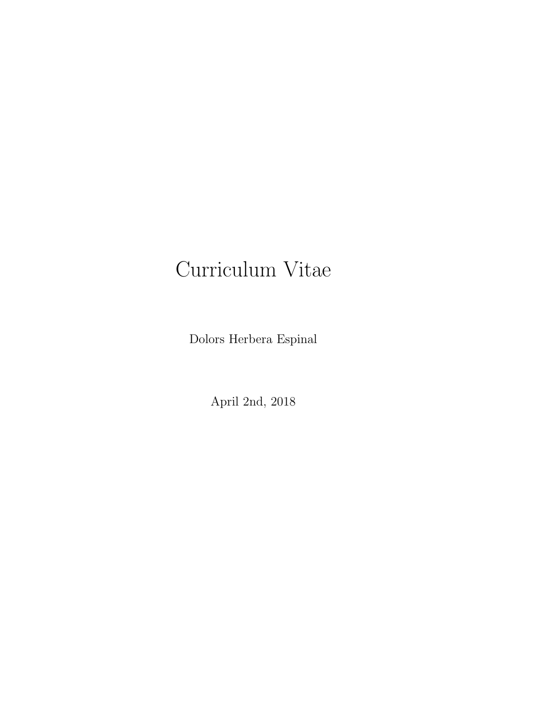# Curriculum Vitae

Dolors Herbera Espinal

April 2nd, 2018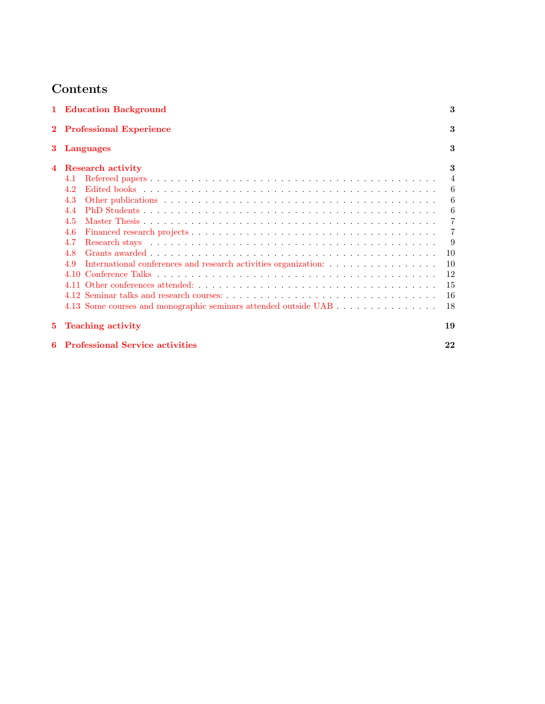## Contents

|    | 1 Education Background                                                 | 3              |
|----|------------------------------------------------------------------------|----------------|
|    | <b>Professional Experience</b>                                         | 3              |
| 3. | Languages                                                              | 3              |
|    | <b>Research activity</b>                                               | 3              |
|    | 4.1                                                                    | $\overline{4}$ |
|    | 4.2                                                                    | 6              |
|    | 4.3                                                                    | 6              |
|    | 4.4                                                                    | 6              |
|    | 4.5                                                                    | 7              |
|    | 4.6                                                                    | 7              |
|    | 4.7                                                                    | -9             |
|    | 4.8                                                                    | 10             |
|    | International conferences and research activities organization:<br>4.9 | 10             |
|    |                                                                        | 12             |
|    |                                                                        | 15             |
|    |                                                                        | 16             |
|    | 4.13 Some courses and monographic seminars attended outside UAB        | 18             |
| 5. | <b>Teaching activity</b>                                               | 19             |
| 6  | <b>Professional Service activities</b>                                 | 22             |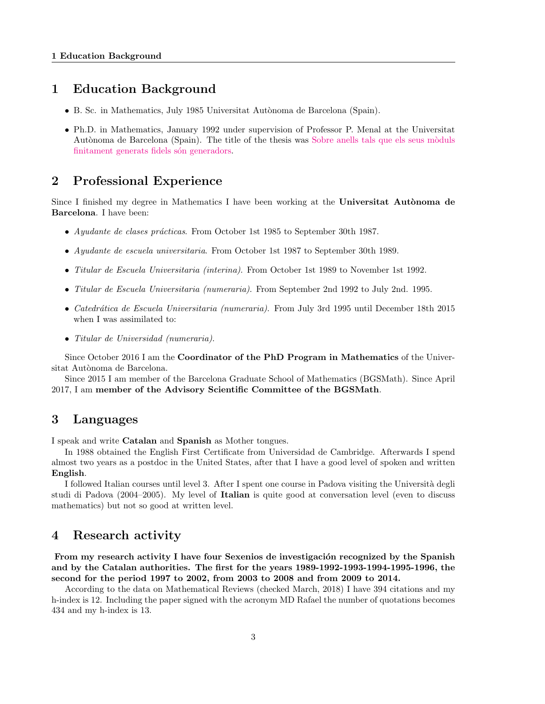## <span id="page-2-0"></span>1 Education Background

- B. Sc. in Mathematics, July 1985 Universitat Autònoma de Barcelona (Spain).
- Ph.D. in Mathematics, January 1992 under supervision of Professor P. Menal at the Universitat Autònoma de Barcelona (Spain). The title of the thesis was Sobre anells tals que els seus mòduls finitament generats fidels són generadors.

## <span id="page-2-1"></span>2 Professional Experience

Since I finished my degree in Mathematics I have been working at the Universitat Autònoma de Barcelona. I have been:

- Ayudante de clases prácticas. From October 1st 1985 to September 30th 1987.
- Ayudante de escuela universitaria. From October 1st 1987 to September 30th 1989.
- Titular de Escuela Universitaria (interina). From October 1st 1989 to November 1st 1992.
- Titular de Escuela Universitaria (numeraria). From September 2nd 1992 to July 2nd. 1995.
- Catedrática de Escuela Universitaria (numeraria). From July 3rd 1995 until December 18th 2015 when I was assimilated to:
- Titular de Universidad (numeraria).

Since October 2016 I am the Coordinator of the PhD Program in Mathematics of the Universitat Autònoma de Barcelona.

Since 2015 I am member of the Barcelona Graduate School of Mathematics (BGSMath). Since April 2017, I am member of the Advisory Scientific Committee of the BGSMath.

## <span id="page-2-2"></span>3 Languages

I speak and write Catalan and Spanish as Mother tongues.

In 1988 obtained the English First Certificate from Universidad de Cambridge. Afterwards I spend almost two years as a postdoc in the United States, after that I have a good level of spoken and written English.

I followed Italian courses until level 3. After I spent one course in Padova visiting the Universit`a degli studi di Padova (2004–2005). My level of Italian is quite good at conversation level (even to discuss mathematics) but not so good at written level.

## <span id="page-2-3"></span>4 Research activity

From my research activity I have four Sexenios de investigación recognized by the Spanish and by the Catalan authorities. The first for the years 1989-1992-1993-1994-1995-1996, the second for the period 1997 to 2002, from 2003 to 2008 and from 2009 to 2014.

According to the data on Mathematical Reviews (checked March, 2018) I have 394 citations and my h-index is 12. Including the paper signed with the acronym MD Rafael the number of quotations becomes 434 and my h-index is 13.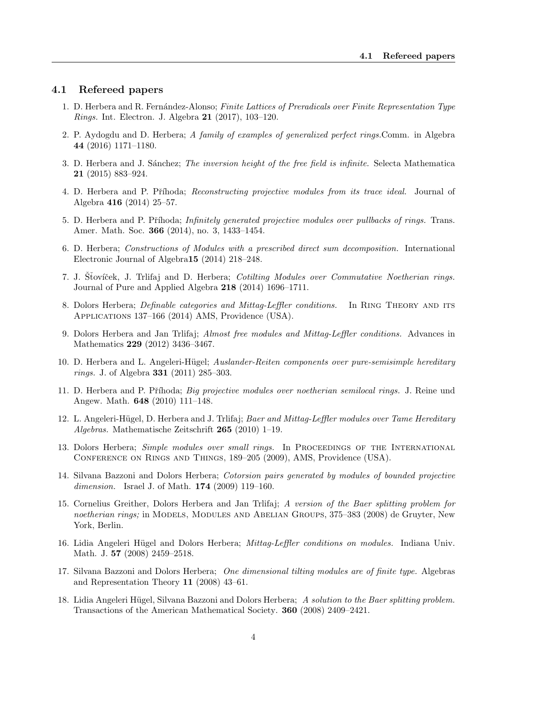## <span id="page-3-0"></span>4.1 Refereed papers

- 1. D. Herbera and R. Fernández-Alonso; Finite Lattices of Preradicals over Finite Representation Type Rings. Int. Electron. J. Algebra 21 (2017), 103–120.
- 2. P. Aydogdu and D. Herbera; A family of examples of generalized perfect rings.Comm. in Algebra 44 (2016) 1171–1180.
- 3. D. Herbera and J. Sánchez; *The inversion height of the free field is infinite*. Selecta Mathematica 21 (2015) 883–924.
- 4. D. Herbera and P. Příhoda; *Reconstructing projective modules from its trace ideal.* Journal of Algebra 416 (2014) 25–57.
- 5. D. Herbera and P. Příhoda; *Infinitely generated projective modules over pullbacks of rings*. Trans. Amer. Math. Soc. 366 (2014), no. 3, 1433–1454.
- 6. D. Herbera; Constructions of Modules with a prescribed direct sum decomposition. International Electronic Journal of Algebra15 (2014) 218–248.
- 7. J. Stovíček, J. Trlifaj and D. Herbera; Cotilting Modules over Commutative Noetherian rings. Journal of Pure and Applied Algebra 218 (2014) 1696–1711.
- 8. Dolors Herbera; *Definable categories and Mittag-Leffler conditions*. In RING THEORY AND ITS Applications 137–166 (2014) AMS, Providence (USA).
- 9. Dolors Herbera and Jan Trlifaj; Almost free modules and Mittag-Leffler conditions. Advances in Mathematics 229 (2012) 3436–3467.
- 10. D. Herbera and L. Angeleri-Hügel; Auslander-Reiten components over pure-semisimple hereditary rings. J. of Algebra 331 (2011) 285–303.
- 11. D. Herbera and P. Příhoda; Big projective modules over noetherian semilocal rings. J. Reine und Angew. Math. 648 (2010) 111–148.
- 12. L. Angeleri-Hügel, D. Herbera and J. Trlifaj; Baer and Mittag-Leffler modules over Tame Hereditary Algebras. Mathematische Zeitschrift 265 (2010) 1–19.
- 13. Dolors Herbera; *Simple modules over small rings.* In PROCEEDINGS OF THE INTERNATIONAL Conference on Rings and Things, 189–205 (2009), AMS, Providence (USA).
- 14. Silvana Bazzoni and Dolors Herbera; Cotorsion pairs generated by modules of bounded projective dimension. Israel J. of Math. **174** (2009) 119-160.
- 15. Cornelius Greither, Dolors Herbera and Jan Trlifaj; A version of the Baer splitting problem for noetherian rings; in MODELS, MODULES AND ABELIAN GROUPS, 375–383 (2008) de Gruyter, New York, Berlin.
- 16. Lidia Angeleri Hügel and Dolors Herbera; Mittag-Leffler conditions on modules. Indiana Univ. Math. J. 57 (2008) 2459–2518.
- 17. Silvana Bazzoni and Dolors Herbera; One dimensional tilting modules are of finite type. Algebras and Representation Theory 11 (2008) 43–61.
- 18. Lidia Angeleri Hügel, Silvana Bazzoni and Dolors Herbera; A solution to the Baer splitting problem. Transactions of the American Mathematical Society. 360 (2008) 2409–2421.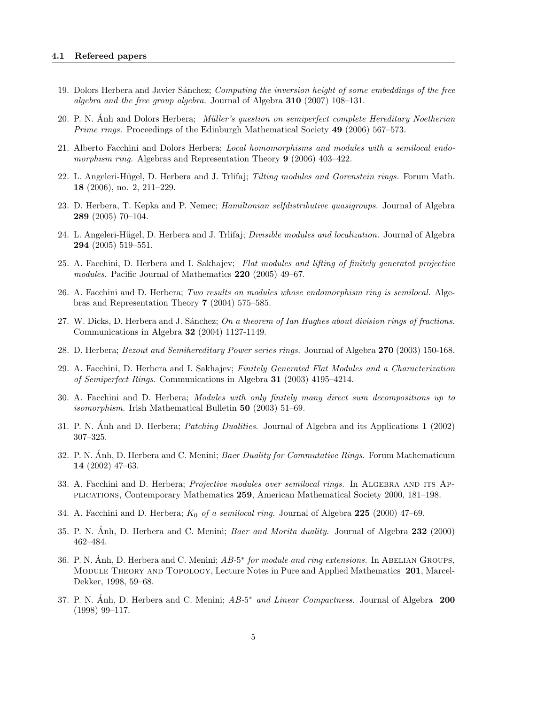- 19. Dolors Herbera and Javier Sánchez; Computing the inversion height of some embeddings of the free algebra and the free group algebra. Journal of Algebra  $310$  (2007) 108–131.
- 20. P. N. Anh and Dolors Herbera; *Müller's question on semiperfect complete Hereditary Noetherian* Prime rings. Proceedings of the Edinburgh Mathematical Society 49 (2006) 567–573.
- 21. Alberto Facchini and Dolors Herbera; Local homomorphisms and modules with a semilocal endomorphism ring. Algebras and Representation Theory 9 (2006) 403–422.
- 22. L. Angeleri-Hügel, D. Herbera and J. Trilifaj; *Tilting modules and Gorenstein rings*. Forum Math. 18 (2006), no. 2, 211–229.
- 23. D. Herbera, T. Kepka and P. Nemec; *Hamiltonian selfdistributive quasigroups*. Journal of Algebra 289 (2005) 70–104.
- 24. L. Angeleri-Hügel, D. Herbera and J. Trlifaj; *Divisible modules and localization*. Journal of Algebra 294 (2005) 519–551.
- 25. A. Facchini, D. Herbera and I. Sakhajev; Flat modules and lifting of finitely generated projective modules. Pacific Journal of Mathematics 220 (2005) 49–67.
- 26. A. Facchini and D. Herbera; Two results on modules whose endomorphism ring is semilocal. Algebras and Representation Theory 7 (2004) 575–585.
- 27. W. Dicks, D. Herbera and J. Sánchez; On a theorem of Ian Hughes about division rings of fractions. Communications in Algebra 32 (2004) 1127-1149.
- 28. D. Herbera; Bezout and Semihereditary Power series rings. Journal of Algebra 270 (2003) 150-168.
- 29. A. Facchini, D. Herbera and I. Sakhajev; Finitely Generated Flat Modules and a Characterization of Semiperfect Rings. Communications in Algebra 31 (2003) 4195–4214.
- 30. A. Facchini and D. Herbera; Modules with only finitely many direct sum decompositions up to *isomorphism.* Irish Mathematical Bulletin  $50$  (2003) 51–69.
- 31. P. N. Anh and D. Herbera; *Patching Dualities*. Journal of Algebra and its Applications  $\bf{1}$  (2002) 307–325.
- 32. P. N. Anh, D. Herbera and C. Menini; *Baer Duality for Commutative Rings.* Forum Mathematicum 14 (2002) 47–63.
- 33. A. Facchini and D. Herbera; Projective modules over semilocal rings. In ALGEBRA AND ITS APplications, Contemporary Mathematics 259, American Mathematical Society 2000, 181–198.
- 34. A. Facchini and D. Herbera;  $K_0$  of a semilocal ring. Journal of Algebra 225 (2000) 47–69.
- 35. P. N. Anh, D. Herbera and C. Menini; *Baer and Morita duality.* Journal of Algebra 232 (2000) 462–484.
- 36. P. N. Ánh, D. Herbera and C. Menini;  $AB-5^*$  for module and ring extensions. In ABELIAN GROUPS, Module Theory and Topology, Lecture Notes in Pure and Applied Mathematics 201, Marcel-Dekker, 1998, 59–68.
- 37. P. N. Ánh, D. Herbera and C. Menini;  $AB-5^*$  and Linear Compactness. Journal of Algebra 200 (1998) 99–117.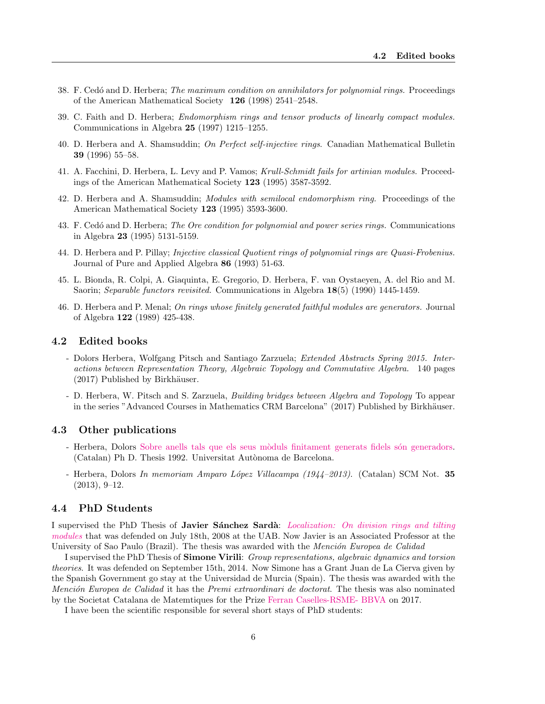- 38. F. Cedó and D. Herbera; The maximum condition on annihilators for polynomial rings. Proceedings of the American Mathematical Society 126 (1998) 2541–2548.
- 39. C. Faith and D. Herbera; Endomorphism rings and tensor products of linearly compact modules. Communications in Algebra 25 (1997) 1215–1255.
- 40. D. Herbera and A. Shamsuddin; On Perfect self-injective rings. Canadian Mathematical Bulletin 39 (1996) 55–58.
- 41. A. Facchini, D. Herbera, L. Levy and P. Vamos; Krull-Schmidt fails for artinian modules. Proceedings of the American Mathematical Society 123 (1995) 3587-3592.
- 42. D. Herbera and A. Shamsuddin; *Modules with semilocal endomorphism ring.* Proceedings of the American Mathematical Society 123 (1995) 3593-3600.
- 43. F. Cedó and D. Herbera; The Ore condition for polynomial and power series rings. Communications in Algebra 23 (1995) 5131-5159.
- 44. D. Herbera and P. Pillay; Injective classical Quotient rings of polynomial rings are Quasi-Frobenius. Journal of Pure and Applied Algebra 86 (1993) 51-63.
- 45. L. Bionda, R. Colpi, A. Giaquinta, E. Gregorio, D. Herbera, F. van Oystaeyen, A. del Rio and M. Saorin; Separable functors revisited. Communications in Algebra 18(5) (1990) 1445-1459.
- 46. D. Herbera and P. Menal; On rings whose finitely generated faithful modules are generators. Journal of Algebra 122 (1989) 425-438.

#### <span id="page-5-0"></span>4.2 Edited books

- Dolors Herbera, Wolfgang Pitsch and Santiago Zarzuela; Extended Abstracts Spring 2015. Interactions between Representation Theory, Algebraic Topology and Commutative Algebra. 140 pages  $(2017)$  Published by Birkhäuser.
- D. Herbera, W. Pitsch and S. Zarzuela, Building bridges between Algebra and Topology To appear in the series "Advanced Courses in Mathematics CRM Barcelona" (2017) Published by Birkhäuser.

## <span id="page-5-1"></span>4.3 Other publications

- Herbera, Dolors Sobre anells tals que els seus mòduls finitament generats fidels són generadors. (Catalan) Ph D. Thesis 1992. Universitat Autònoma de Barcelona.
- Herbera, Dolors In memoriam Amparo López Villacampa (1944–2013). (Catalan) SCM Not. 35 (2013), 9–12.

#### <span id="page-5-2"></span>4.4 PhD Students

I supervised the PhD Thesis of **Javier Sanchez Sardà**: *[Localization: On division rings and tilting](http://www.tdx.cat/handle/10803/3107)* [modules](http://www.tdx.cat/handle/10803/3107) that was defended on July 18th, 2008 at the UAB. Now Javier is an Associated Professor at the University of Sao Paulo (Brazil). The thesis was awarded with the *Mención Europea de Calidad* 

I supervised the PhD Thesis of Simone Virili: Group representations, algebraic dynamics and torsion theories. It was defended on September 15th, 2014. Now Simone has a Grant Juan de La Cierva given by the Spanish Government go stay at the Universidad de Murcia (Spain). The thesis was awarded with the Mención Europea de Calidad it has the Premi extraordinari de doctorat. The thesis was also nominated by the Societat Catalana de Matemtiques for the Prize [Ferran Caselles-RSME- BBVA](http://www.rsme.es/content/blogsection/10/60/) on 2017.

I have been the scientific responsible for several short stays of PhD students: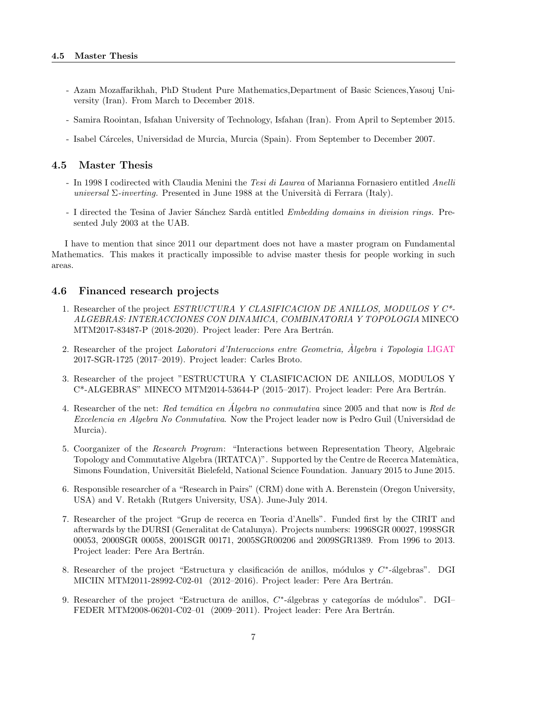- Azam Mozaffarikhah, PhD Student Pure Mathematics,Department of Basic Sciences,Yasouj University (Iran). From March to December 2018.
- Samira Roointan, Isfahan University of Technology, Isfahan (Iran). From April to September 2015.
- Isabel Cárceles, Universidad de Murcia, Murcia (Spain). From September to December 2007.

#### <span id="page-6-0"></span>4.5 Master Thesis

- In 1998 I codirected with Claudia Menini the Tesi di Laurea of Marianna Fornasiero entitled Anelli universal  $\Sigma$ -inverting. Presented in June 1988 at the Università di Ferrara (Italy).
- I directed the Tesina of Javier Sánchez Sardà entitled *Embedding domains in division rings*. Presented July 2003 at the UAB.

I have to mention that since 2011 our department does not have a master program on Fundamental Mathematics. This makes it practically impossible to advise master thesis for people working in such areas.

#### <span id="page-6-1"></span>4.6 Financed research projects

- 1. Researcher of the project ESTRUCTURA Y CLASIFICACION DE ANILLOS, MODULOS Y C\*- ALGEBRAS: INTERACCIONES CON DINAMICA, COMBINATORIA Y TOPOLOGIA MINECO MTM2017-83487-P (2018-2020). Project leader: Pere Ara Bertrán.
- 2. Researcher of the project Laboratori d'Interaccions entre Geometria, Algebra i Topologia [LIGAT](http://mat.uab.cat/web/ligat/) 2017-SGR-1725 (2017–2019). Project leader: Carles Broto.
- 3. Researcher of the project "ESTRUCTURA Y CLASIFICACION DE ANILLOS, MODULOS Y C\*-ALGEBRAS" MINECO MTM2014-53644-P (2015–2017). Project leader: Pere Ara Bertrán.
- 4. Researcher of the net: Red temática en Álgebra no conmutativa since 2005 and that now is Red de Excelencia en Algebra No Conmutativa. Now the Project leader now is Pedro Guil (Universidad de Murcia).
- 5. Coorganizer of the Research Program: "Interactions between Representation Theory, Algebraic Topology and Commutative Algebra (IRTATCA)". Supported by the Centre de Recerca Matem`atica, Simons Foundation, Universität Bielefeld, National Science Foundation. January 2015 to June 2015.
- 6. Responsible researcher of a "Research in Pairs" (CRM) done with A. Berenstein (Oregon University, USA) and V. Retakh (Rutgers University, USA). June-July 2014.
- 7. Researcher of the project "Grup de recerca en Teoria d'Anells". Funded first by the CIRIT and afterwards by the DURSI (Generalitat de Catalunya). Projects numbers: 1996SGR 00027, 1998SGR 00053, 2000SGR 00058, 2001SGR 00171, 2005SGR00206 and 2009SGR1389. From 1996 to 2013. Project leader: Pere Ara Bertrán.
- 8. Researcher of the project "Estructura y clasificación de anillos, módulos y  $C^*$ -álgebras". DGI MICIIN MTM2011-28992-C02-01 (2012–2016). Project leader: Pere Ara Bertrán.
- 9. Researcher of the project "Estructura de anillos,  $C^*$ -álgebras y categorías de módulos". DGI-FEDER MTM2008-06201-C02-01 (2009-2011). Project leader: Pere Ara Bertrán.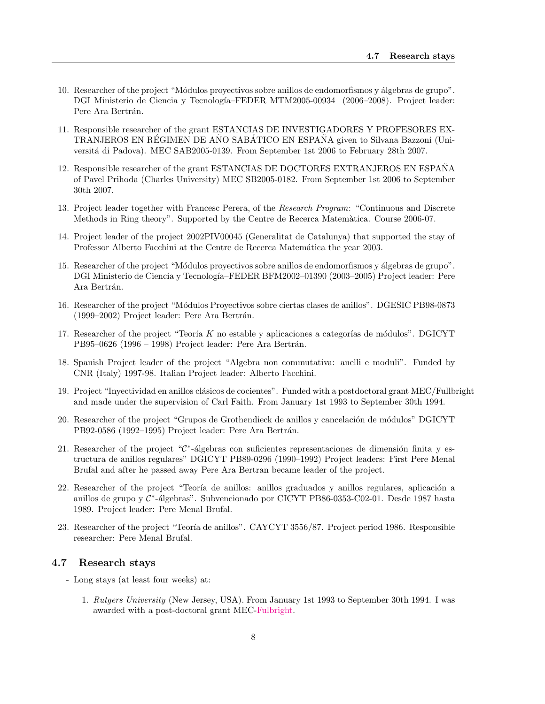- 10. Researcher of the project "Módulos proyectivos sobre anillos de endomorfismos y álgebras de grupo". DGI Ministerio de Ciencia y Tecnología–FEDER MTM2005-00934 (2006–2008). Project leader: Pere Ara Bertrán.
- 11. Responsible researcher of the grant ESTANCIAS DE INVESTIGADORES Y PROFESORES EX-TRANJEROS EN REGIMEN DE ANO SABATICO EN ESPANA given to Silvana Bazzoni (Universitá di Padova). MEC SAB2005-0139. From September 1st 2006 to February 28th 2007.
- 12. Responsible researcher of the grant ESTANCIAS DE DOCTORES EXTRANJEROS EN ESPANA˜ of Pavel Prihoda (Charles University) MEC SB2005-0182. From September 1st 2006 to September 30th 2007.
- 13. Project leader together with Francesc Perera, of the Research Program: "Continuous and Discrete Methods in Ring theory". Supported by the Centre de Recerca Matem`atica. Course 2006-07.
- 14. Project leader of the project 2002PIV00045 (Generalitat de Catalunya) that supported the stay of Professor Alberto Facchini at the Centre de Recerca Matemática the year 2003.
- 15. Researcher of the project "Módulos proyectivos sobre anillos de endomorfismos y álgebras de grupo". DGI Ministerio de Ciencia y Tecnología–FEDER BFM2002–01390 (2003–2005) Project leader: Pere Ara Bertrán.
- 16. Researcher of the project "M´odulos Proyectivos sobre ciertas clases de anillos". DGESIC PB98-0873  $(1999-2002)$  Project leader: Pere Ara Bertrán.
- 17. Researcher of the project "Teoría  $K$  no estable y aplicaciones a categorías de módulos". DGICYT PB95–0626 (1996 – 1998) Project leader: Pere Ara Bertrán.
- 18. Spanish Project leader of the project "Algebra non commutativa: anelli e moduli". Funded by CNR (Italy) 1997-98. Italian Project leader: Alberto Facchini.
- 19. Project "Inyectividad en anillos clásicos de cocientes". Funded with a postdoctoral grant MEC/Fullbright and made under the supervision of Carl Faith. From January 1st 1993 to September 30th 1994.
- 20. Researcher of the project "Grupos de Grothendieck de anillos y cancelación de módulos" DGICYT PB92-0586 (1992-1995) Project leader: Pere Ara Bertrán.
- 21. Researcher of the project " $\mathcal{C}^*$ -álgebras con suficientes representaciones de dimensión finita y estructura de anillos regulares" DGICYT PB89-0296 (1990–1992) Project leaders: First Pere Menal Brufal and after he passed away Pere Ara Bertran became leader of the project.
- 22. Researcher of the project "Teoría de anillos: anillos graduados y anillos regulares, aplicación a anillos de grupo y C<sup>\*</sup>-álgebras". Subvencionado por CICYT PB86-0353-C02-01. Desde 1987 hasta 1989. Project leader: Pere Menal Brufal.
- 23. Researcher of the project "Teoría de anillos". CAYCYT 3556/87. Project period 1986. Responsible researcher: Pere Menal Brufal.

#### <span id="page-7-0"></span>4.7 Research stays

- Long stays (at least four weeks) at:
	- 1. Rutgers University (New Jersey, USA). From January 1st 1993 to September 30th 1994. I was awarded with a post-doctoral grant MEC[-Fulbright.](http://fulbright.es)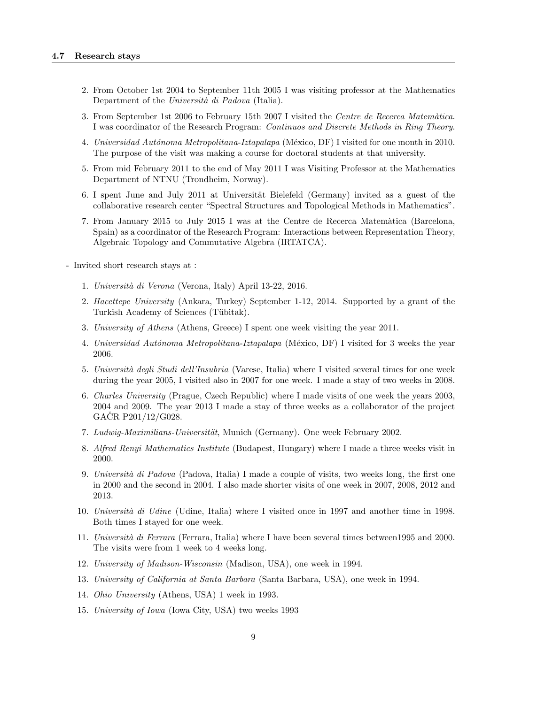- 2. From October 1st 2004 to September 11th 2005 I was visiting professor at the Mathematics Department of the Università di Padova (Italia).
- 3. From September 1st 2006 to February 15th 2007 I visited the Centre de Recerca Matemàtica. I was coordinator of the Research Program: Continuos and Discrete Methods in Ring Theory.
- 4. Universidad Autónoma Metropolitana-Iztapalapa (México, DF) I visited for one month in 2010. The purpose of the visit was making a course for doctoral students at that university.
- 5. From mid February 2011 to the end of May 2011 I was Visiting Professor at the Mathematics Department of NTNU (Trondheim, Norway).
- 6. I spent June and July 2011 at Universität Bielefeld (Germany) invited as a guest of the collaborative research center "Spectral Structures and Topological Methods in Mathematics".
- 7. From January 2015 to July 2015 I was at the Centre de Recerca Matem`atica (Barcelona, Spain) as a coordinator of the Research Program: Interactions between Representation Theory, Algebraic Topology and Commutative Algebra (IRTATCA).
- Invited short research stays at :
	- 1. Universit`a di Verona (Verona, Italy) April 13-22, 2016.
	- 2. Hacettepe University (Ankara, Turkey) September 1-12, 2014. Supported by a grant of the Turkish Academy of Sciences (Tübitak).
	- 3. University of Athens (Athens, Greece) I spent one week visiting the year 2011.
	- 4. Universidad Autónoma Metropolitana-Iztapalapa (México, DF) I visited for 3 weeks the year 2006.
	- 5. Università degli Studi dell'Insubria (Varese, Italia) where I visited several times for one week during the year 2005, I visited also in 2007 for one week. I made a stay of two weeks in 2008.
	- 6. Charles University (Prague, Czech Republic) where I made visits of one week the years 2003, 2004 and 2009. The year 2013 I made a stay of three weeks as a collaborator of the project  $GACR$  P201/12/G028.
	- 7. Ludwig-Maximilians-Universität, Munich (Germany). One week February 2002.
	- 8. Alfred Renyi Mathematics Institute (Budapest, Hungary) where I made a three weeks visit in 2000.
	- 9. Università di Padova (Padova, Italia) I made a couple of visits, two weeks long, the first one in 2000 and the second in 2004. I also made shorter visits of one week in 2007, 2008, 2012 and 2013.
	- 10. Università di Udine (Udine, Italia) where I visited once in 1997 and another time in 1998. Both times I stayed for one week.
	- 11. Università di Ferrara (Ferrara, Italia) where I have been several times between1995 and 2000. The visits were from 1 week to 4 weeks long.
	- 12. University of Madison-Wisconsin (Madison, USA), one week in 1994.
	- 13. University of California at Santa Barbara (Santa Barbara, USA), one week in 1994.
	- 14. Ohio University (Athens, USA) 1 week in 1993.
	- 15. University of Iowa (Iowa City, USA) two weeks 1993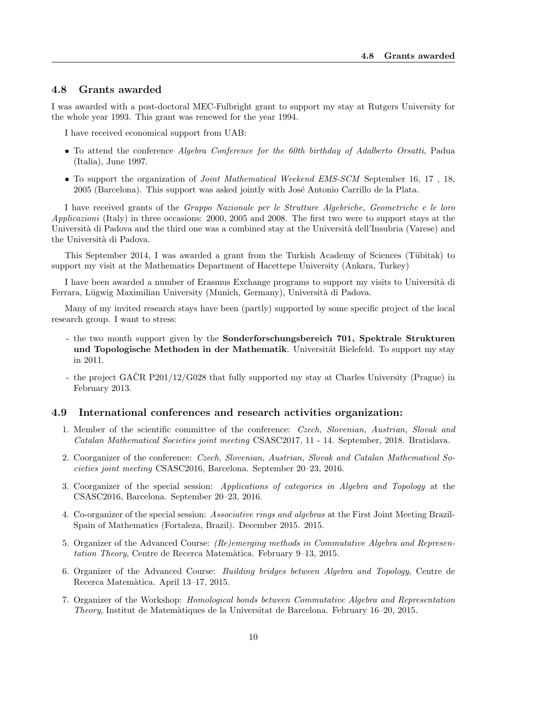## <span id="page-9-0"></span>4.8 Grants awarded

I was awarded with a post-doctoral MEC-Fulbright grant to support my stay at Rutgers University for the whole year 1993. This grant was renewed for the year 1994.

I have received economical support from UAB:

- To attend the conference Algebra Conference for the 60th birthday of Adalberto Orsatti, Padua (Italia), June 1997.
- To support the organization of Joint Mathematical Weekend EMS-SCM September 16, 17 , 18, 2005 (Barcelona). This support was asked jointly with Jos´e Antonio Carrillo de la Plata.

I have received grants of the Gruppo Nazionale per le Strutture Algebriche, Geometriche e le loro Applicazioni (Italy) in three occasions: 2000, 2005 and 2008. The first two were to support stays at the Università di Padova and the third one was a combined stay at the Università dell'Insubria (Varese) and the Università di Padova.

This September 2014, I was awarded a grant from the Turkish Academy of Sciences (Tübitak) to support my visit at the Mathematics Department of Hacettepe University (Ankara, Turkey)

I have been awarded a number of Erasmus Exchange programs to support my visits to Università di Ferrara, Lügwig Maximilian University (Munich, Germany), Università di Padova.

Many of my invited research stays have been (partly) supported by some specific project of the local research group. I want to stress:

- the two month support given by the Sonderforschungsbereich 701, Spektrale Strukturen und Topologische Methoden in der Mathematik. Universität Bielefeld. To support my stay in 2011.
- the project GACR P201/12/G028 that fully supported my stay at Charles University (Prague) in February 2013.

#### <span id="page-9-1"></span>4.9 International conferences and research activities organization:

- 1. Member of the scientific committee of the conference: Czech, Slovenian, Austrian, Slovak and Catalan Mathematical Societies joint meeting CSASC2017, 11 - 14. September, 2018. Bratislava.
- 2. Coorganizer of the conference: Czech, Slovenian, Austrian, Slovak and Catalan Mathematical Societies joint meeting CSASC2016, Barcelona. September 20–23, 2016.
- 3. Coorganizer of the special session: Applications of categories in Algebra and Topology at the CSASC2016, Barcelona. September 20–23, 2016.
- 4. Co-organizer of the special session: Associative rings and algebras at the First Joint Meeting Brazil-Spain of Mathematics (Fortaleza, Brazil). December 2015. 2015.
- 5. Organizer of the Advanced Course: (Re)emerging methods in Commutative Algebra and Representation Theory, Centre de Recerca Matemàtica. February 9–13, 2015.
- 6. Organizer of the Advanced Course: Building bridges between Algebra and Topology, Centre de Recerca Matem`atica. April 13–17, 2015.
- 7. Organizer of the Workshop: Homological bonds between Commutative Algebra and Representation Theory, Institut de Matem`atiques de la Universitat de Barcelona. February 16–20, 2015.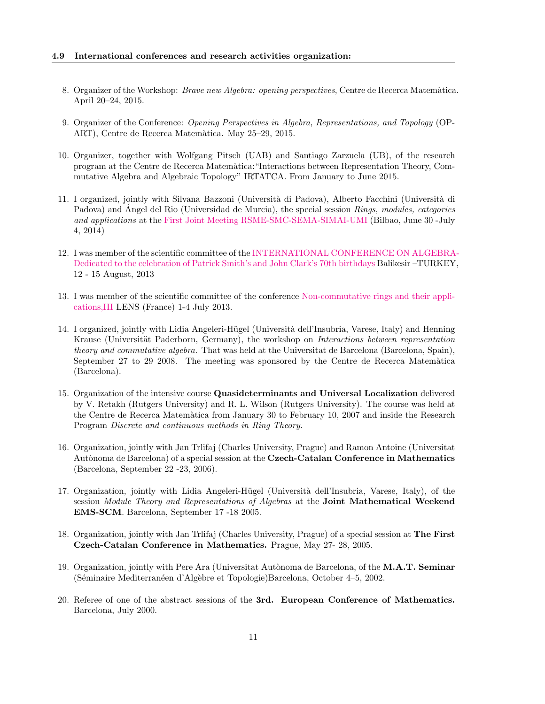- 8. Organizer of the Workshop: *Brave new Algebra: opening perspectives*, Centre de Recerca Matemàtica. April 20–24, 2015.
- 9. Organizer of the Conference: Opening Perspectives in Algebra, Representations, and Topology (OP-ART), Centre de Recerca Matem`atica. May 25–29, 2015.
- 10. Organizer, together with Wolfgang Pitsch (UAB) and Santiago Zarzuela (UB), of the research program at the Centre de Recerca Matem`atica:"Interactions between Representation Theory, Commutative Algebra and Algebraic Topology" IRTATCA. From January to June 2015.
- 11. I organized, jointly with Silvana Bazzoni (Universit`a di Padova), Alberto Facchini (Universit`a di Padova) and Angel del Rio (Universidad de Murcia), the special session *Rings, modules, categories* and applications at the [First Joint Meeting RSME-SMC-SEMA-SIMAI-UMI](http://www.ehu.es/en/web/fjim2014) (Bilbao, June 30 -July 4, 2014)
- 12. I was member of the scientific committee of the [INTERNATIONAL CONFERENCE ON ALGEBRA](http://ica.balikesir.edu.tr)-[Dedicated to the celebration of Patrick Smith's and John Clark's 70th birthdays](http://ica.balikesir.edu.tr) Balikesir –TURKEY, 12 - 15 August, 2013
- 13. I was member of the scientific committee of the conference [Non-commutative rings and their appli](http://leroy.perso.math.cnrs.fr/Congres%202013/2013Congres.html)[cations,III](http://leroy.perso.math.cnrs.fr/Congres%202013/2013Congres.html) LENS (France) 1-4 July 2013.
- 14. I organized, jointly with Lidia Angeleri-Hügel (Università dell'Insubria, Varese, Italy) and Henning Krause (Universität Paderborn, Germany), the workshop on *Interactions between representation* theory and commutative algebra. That was held at the Universitat de Barcelona (Barcelona, Spain), September 27 to 29 2008. The meeting was sponsored by the Centre de Recerca Matemàtica (Barcelona).
- 15. Organization of the intensive course Quasideterminants and Universal Localization delivered by V. Retakh (Rutgers University) and R. L. Wilson (Rutgers University). The course was held at the Centre de Recerca Matemàtica from January 30 to February 10, 2007 and inside the Research Program Discrete and continuous methods in Ring Theory.
- 16. Organization, jointly with Jan Trlifaj (Charles University, Prague) and Ramon Antoine (Universitat Autònoma de Barcelona) of a special session at the Czech-Catalan Conference in Mathematics (Barcelona, September 22 -23, 2006).
- 17. Organization, jointly with Lidia Angeleri-Hügel (Università dell'Insubria, Varese, Italy), of the session Module Theory and Representations of Algebras at the **Joint Mathematical Weekend** EMS-SCM. Barcelona, September 17 -18 2005.
- 18. Organization, jointly with Jan Trlifaj (Charles University, Prague) of a special session at The First Czech-Catalan Conference in Mathematics. Prague, May 27- 28, 2005.
- 19. Organization, jointly with Pere Ara (Universitat Autònoma de Barcelona, of the M.A.T. Seminar (Séminaire Mediterranéen d'Algèbre et Topologie)Barcelona, October 4–5, 2002.
- 20. Referee of one of the abstract sessions of the 3rd. European Conference of Mathematics. Barcelona, July 2000.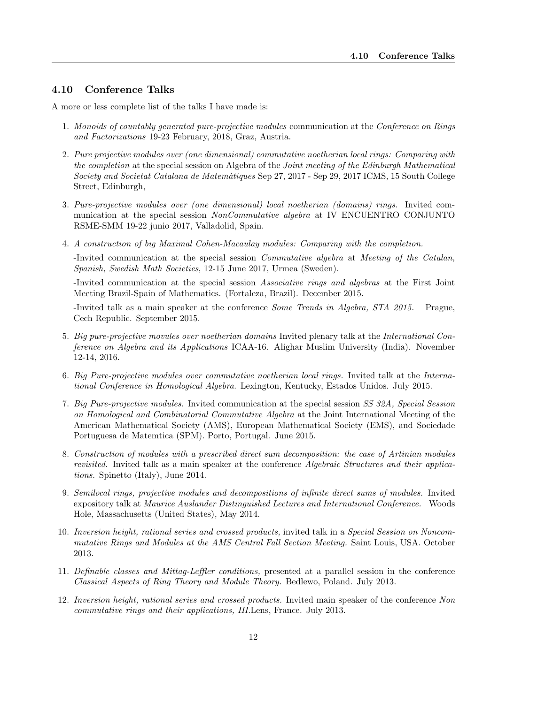## <span id="page-11-0"></span>4.10 Conference Talks

A more or less complete list of the talks I have made is:

- 1. Monoids of countably generated pure-projective modules communication at the Conference on Rings and Factorizations 19-23 February, 2018, Graz, Austria.
- 2. Pure projective modules over (one dimensional) commutative noetherian local rings: Comparing with the completion at the special session on Algebra of the Joint meeting of the Edinburgh Mathematical Society and Societat Catalana de Matem`atiques Sep 27, 2017 - Sep 29, 2017 ICMS, 15 South College Street, Edinburgh,
- 3. Pure-projective modules over (one dimensional) local noetherian (domains) rings. Invited communication at the special session NonCommutative algebra at IV ENCUENTRO CONJUNTO RSME-SMM 19-22 junio 2017, Valladolid, Spain.
- 4. A construction of big Maximal Cohen-Macaulay modules: Comparing with the completion.

-Invited communication at the special session Commutative algebra at Meeting of the Catalan, Spanish, Swedish Math Societies, 12-15 June 2017, Urmea (Sweden).

-Invited communication at the special session Associative rings and algebras at the First Joint Meeting Brazil-Spain of Mathematics. (Fortaleza, Brazil). December 2015.

-Invited talk as a main speaker at the conference Some Trends in Algebra, STA 2015. Prague, Cech Republic. September 2015.

- 5. Big pure-projective movules over noetherian domains Invited plenary talk at the International Conference on Algebra and its Applications ICAA-16. Alighar Muslim University (India). November 12-14, 2016.
- 6. Big Pure-projective modules over commutative noetherian local rings. Invited talk at the International Conference in Homological Algebra. Lexington, Kentucky, Estados Unidos. July 2015.
- 7. Big Pure-projective modules. Invited communication at the special session SS 32A, Special Session on Homological and Combinatorial Commutative Algebra at the Joint International Meeting of the American Mathematical Society (AMS), European Mathematical Society (EMS), and Sociedade Portuguesa de Matemtica (SPM). Porto, Portugal. June 2015.
- 8. Construction of modules with a prescribed direct sum decomposition: the case of Artinian modules revisited. Invited talk as a main speaker at the conference Algebraic Structures and their applications. Spinetto (Italy), June 2014.
- 9. Semilocal rings, projective modules and decompositions of infinite direct sums of modules. Invited expository talk at Maurice Auslander Distinguished Lectures and International Conference. Woods Hole, Massachusetts (United States), May 2014.
- 10. Inversion height, rational series and crossed products, invited talk in a Special Session on Noncommutative Rings and Modules at the AMS Central Fall Section Meeting. Saint Louis, USA. October 2013.
- 11. Definable classes and Mittag-Leffler conditions, presented at a parallel session in the conference Classical Aspects of Ring Theory and Module Theory. Bedlewo, Poland. July 2013.
- 12. Inversion height, rational series and crossed products. Invited main speaker of the conference Non commutative rings and their applications, III.Lens, France. July 2013.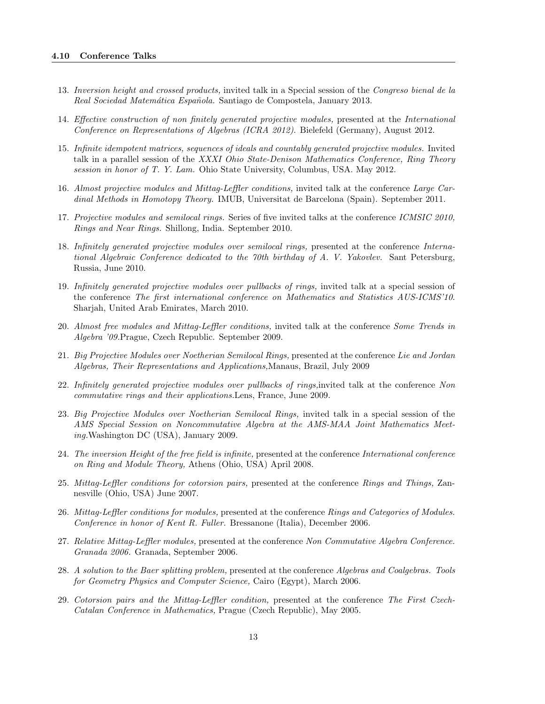- 13. Inversion height and crossed products, invited talk in a Special session of the Congreso bienal de la Real Sociedad Matemática Española. Santiago de Compostela, January 2013.
- 14. Effective construction of non finitely generated projective modules, presented at the International Conference on Representations of Algebras (ICRA 2012). Bielefeld (Germany), August 2012.
- 15. Infinite idempotent matrices, sequences of ideals and countably generated projective modules. Invited talk in a parallel session of the XXXI Ohio State-Denison Mathematics Conference, Ring Theory session in honor of T. Y. Lam. Ohio State University, Columbus, USA. May 2012.
- 16. Almost projective modules and Mittag-Leffler conditions, invited talk at the conference Large Cardinal Methods in Homotopy Theory. IMUB, Universitat de Barcelona (Spain). September 2011.
- 17. Projective modules and semilocal rings. Series of five invited talks at the conference ICMSIC 2010, Rings and Near Rings. Shillong, India. September 2010.
- 18. Infinitely generated projective modules over semilocal rings, presented at the conference International Algebraic Conference dedicated to the 70th birthday of A. V. Yakovlev. Sant Petersburg, Russia, June 2010.
- 19. Infinitely generated projective modules over pullbacks of rings, invited talk at a special session of the conference The first international conference on Mathematics and Statistics AUS-ICMS'10. Sharjah, United Arab Emirates, March 2010.
- 20. Almost free modules and Mittag-Leffler conditions, invited talk at the conference Some Trends in Algebra '09.Prague, Czech Republic. September 2009.
- 21. Big Projective Modules over Noetherian Semilocal Rings, presented at the conference Lie and Jordan Algebras, Their Representations and Applications,Manaus, Brazil, July 2009
- 22. Infinitely generated projective modules over pullbacks of rings,invited talk at the conference Non commutative rings and their applications.Lens, France, June 2009.
- 23. Big Projective Modules over Noetherian Semilocal Rings, invited talk in a special session of the AMS Special Session on Noncommutative Algebra at the AMS-MAA Joint Mathematics Meeting.Washington DC (USA), January 2009.
- 24. The inversion Height of the free field is infinite, presented at the conference International conference on Ring and Module Theory, Athens (Ohio, USA) April 2008.
- 25. Mittag-Leffler conditions for cotorsion pairs, presented at the conference Rings and Things, Zannesville (Ohio, USA) June 2007.
- 26. Mittag-Leffler conditions for modules, presented at the conference Rings and Categories of Modules. Conference in honor of Kent R. Fuller. Bressanone (Italia), December 2006.
- 27. Relative Mittag-Leffler modules, presented at the conference Non Commutative Algebra Conference. Granada 2006. Granada, September 2006.
- 28. A solution to the Baer splitting problem, presented at the conference Algebras and Coalgebras. Tools for Geometry Physics and Computer Science, Cairo (Egypt), March 2006.
- 29. Cotorsion pairs and the Mittag-Leffler condition, presented at the conference The First Czech-Catalan Conference in Mathematics, Prague (Czech Republic), May 2005.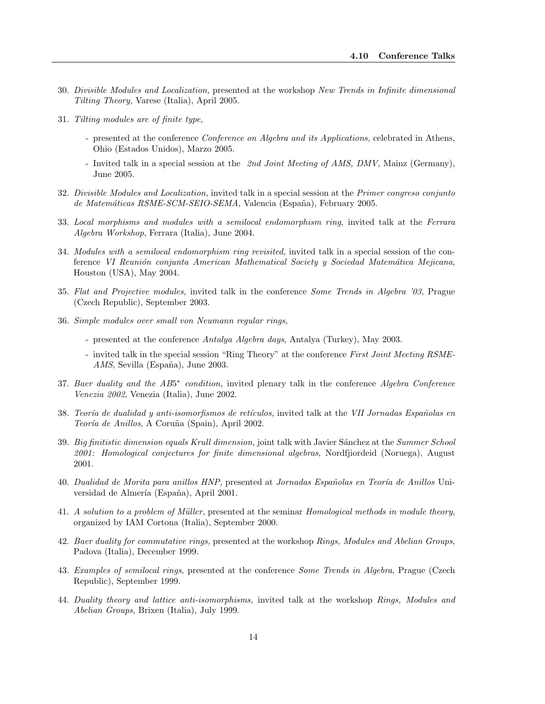- 30. Divisible Modules and Localization, presented at the workshop New Trends in Infinite dimensional Tilting Theory, Varese (Italia), April 2005.
- 31. Tilting modules are of finite type,
	- presented at the conference *Conference on Algebra and its Applications*, celebrated in Athens, Ohio (Estados Unidos), Marzo 2005.
	- Invited talk in a special session at the 2nd Joint Meeting of AMS, DMV, Mainz (Germany), June 2005.
- 32. Divisible Modules and Localization, invited talk in a special session at the Primer congreso conjunto de Matemáticas RSME-SCM-SEIO-SEMA, Valencia (España), February 2005.
- 33. Local morphisms and modules with a semilocal endomorphism ring, invited talk at the Ferrara Algebra Workshop, Ferrara (Italia), June 2004.
- 34. Modules with a semilocal endomorphism ring revisited, invited talk in a special session of the conference VI Reunión conjunta American Mathematical Society y Sociedad Matemática Mejicana, Houston (USA), May 2004.
- 35. Flat and Projective modules, invited talk in the conference Some Trends in Algebra '03, Prague (Czech Republic), September 2003.
- 36. Simple modules over small von Neumann regular rings,
	- presented at the conference Antalya Algebra days, Antalya (Turkey), May 2003.
	- invited talk in the special session "Ring Theory" at the conference First Joint Meeting RSME-AMS, Sevilla (España), June 2003.
- 37. Baer duality and the AB5<sup>\*</sup> condition, invited plenary talk in the conference Algebra Conference Venezia 2002, Venezia (Italia), June 2002.
- 38. Teoría de dualidad y anti-isomorfismos de retículos, invited talk at the VII Jornadas Españolas en Teoría de Anillos, A Coruña (Spain), April 2002.
- 39. Big finitistic dimension equals Krull dimension, joint talk with Javier Sánchez at the Summer School 2001: Homological conjectures for finite dimensional algebras, Nordfjiordeid (Noruega), August 2001.
- 40. Dualidad de Morita para anillos HNP, presented at Jornadas Españolas en Teoría de Anillos Universidad de Almería (España), April 2001.
- 41. A solution to a problem of Müller, presented at the seminar Homological methods in module theory, organized by IAM Cortona (Italia), September 2000.
- 42. Baer duality for commutative rings, presented at the workshop Rings, Modules and Abelian Groups, Padova (Italia), December 1999.
- 43. Examples of semilocal rings, presented at the conference Some Trends in Algebra, Prague (Czech Republic), September 1999.
- 44. Duality theory and lattice anti-isomorphisms, invited talk at the workshop Rings, Modules and Abelian Groups, Brixen (Italia), July 1999.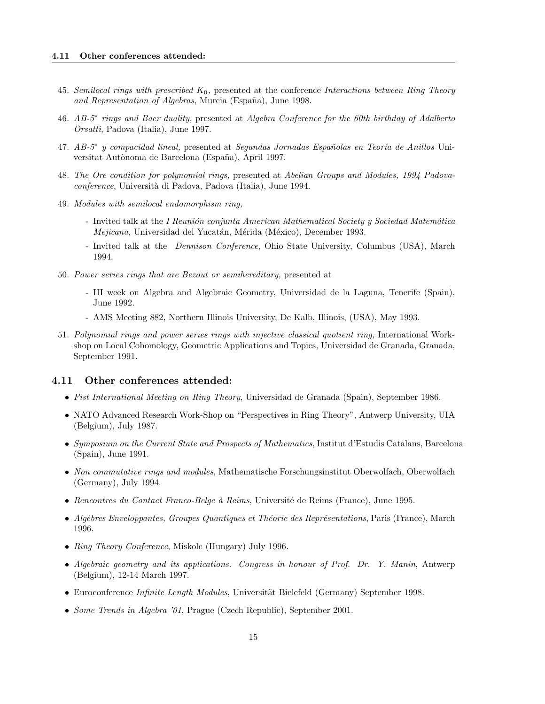- 45. Semilocal rings with prescribed  $K_0$ , presented at the conference Interactions between Ring Theory and Representation of Algebras, Murcia (España), June 1998.
- 46. AB-5<sup>∗</sup> rings and Baer duality, presented at Algebra Conference for the 60th birthday of Adalberto Orsatti, Padova (Italia), June 1997.
- 47. AB-5<sup>∗</sup> y compacidad lineal, presented at Segundas Jornadas Españolas en Teoría de Anillos Universitat Autònoma de Barcelona (España), April 1997.
- 48. The Ore condition for polynomial rings, presented at Abelian Groups and Modules, 1994 Padovaconference, Università di Padova, Padova (Italia), June 1994.
- 49. Modules with semilocal endomorphism ring,
	- Invited talk at the I Reunión conjunta American Mathematical Society y Sociedad Matemática Mejicana, Universidad del Yucatán, Mérida (México), December 1993.
	- Invited talk at the *Dennison Conference*, Ohio State University, Columbus (USA), March 1994.
- 50. Power series rings that are Bezout or semihereditary, presented at
	- III week on Algebra and Algebraic Geometry, Universidad de la Laguna, Tenerife (Spain), June 1992.
	- AMS Meeting 882, Northern Illinois University, De Kalb, Illinois, (USA), May 1993.
- 51. Polynomial rings and power series rings with injective classical quotient ring, International Workshop on Local Cohomology, Geometric Applications and Topics, Universidad de Granada, Granada, September 1991.

## <span id="page-14-0"></span>4.11 Other conferences attended:

- Fist International Meeting on Ring Theory, Universidad de Granada (Spain), September 1986.
- NATO Advanced Research Work-Shop on "Perspectives in Ring Theory", Antwerp University, UIA (Belgium), July 1987.
- Symposium on the Current State and Prospects of Mathematics, Institut d'Estudis Catalans, Barcelona (Spain), June 1991.
- Non commutative rings and modules, Mathematische Forschungsinstitut Oberwolfach, Oberwolfach (Germany), July 1994.
- Rencontres du Contact Franco-Belge à Reims, Université de Reims (France), June 1995.
- Algèbres Enveloppantes, Groupes Quantiques et Théorie des Représentations, Paris (France), March 1996.
- Ring Theory Conference, Miskolc (Hungary) July 1996.
- Algebraic geometry and its applications. Congress in honour of Prof. Dr. Y. Manin, Antwerp (Belgium), 12-14 March 1997.
- Euroconference *Infinite Length Modules*, Universität Bielefeld (Germany) September 1998.
- Some Trends in Algebra '01, Prague (Czech Republic), September 2001.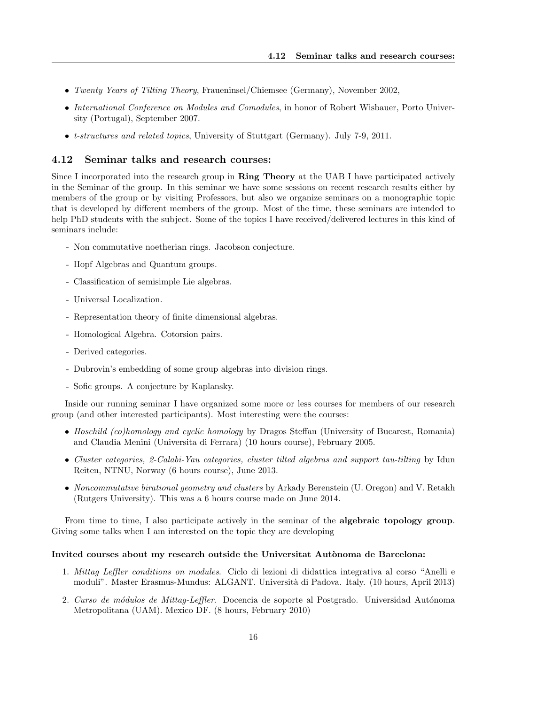- Twenty Years of Tilting Theory, Fraueninsel/Chiemsee (Germany), November 2002,
- International Conference on Modules and Comodules, in honor of Robert Wisbauer, Porto University (Portugal), September 2007.
- t-structures and related topics, University of Stuttgart (Germany). July 7-9, 2011.

#### <span id="page-15-0"></span>4.12 Seminar talks and research courses:

Since I incorporated into the research group in Ring Theory at the UAB I have participated actively in the Seminar of the group. In this seminar we have some sessions on recent research results either by members of the group or by visiting Professors, but also we organize seminars on a monographic topic that is developed by different members of the group. Most of the time, these seminars are intended to help PhD students with the subject. Some of the topics I have received/delivered lectures in this kind of seminars include:

- Non commutative noetherian rings. Jacobson conjecture.
- Hopf Algebras and Quantum groups.
- Classification of semisimple Lie algebras.
- Universal Localization.
- Representation theory of finite dimensional algebras.
- Homological Algebra. Cotorsion pairs.
- Derived categories.
- Dubrovin's embedding of some group algebras into division rings.
- Sofic groups. A conjecture by Kaplansky.

Inside our running seminar I have organized some more or less courses for members of our research group (and other interested participants). Most interesting were the courses:

- Hoschild (co)homology and cyclic homology by Dragos Steffan (University of Bucarest, Romania) and Claudia Menini (Universita di Ferrara) (10 hours course), February 2005.
- Cluster categories, 2-Calabi-Yau categories, cluster tilted algebras and support tau-tilting by Idun Reiten, NTNU, Norway (6 hours course), June 2013.
- Noncommutative birational geometry and clusters by Arkady Berenstein (U. Oregon) and V. Retakh (Rutgers University). This was a 6 hours course made on June 2014.

From time to time, I also participate actively in the seminar of the **algebraic topology group**. Giving some talks when I am interested on the topic they are developing

#### Invited courses about my research outside the Universitat Autònoma de Barcelona:

- 1. Mittag Leffler conditions on modules. Ciclo di lezioni di didattica integrativa al corso "Anelli e moduli". Master Erasmus-Mundus: ALGANT. Università di Padova. Italy. (10 hours, April 2013)
- 2. Curso de módulos de Mittag-Leffler. Docencia de soporte al Postgrado. Universidad Autónoma Metropolitana (UAM). Mexico DF. (8 hours, February 2010)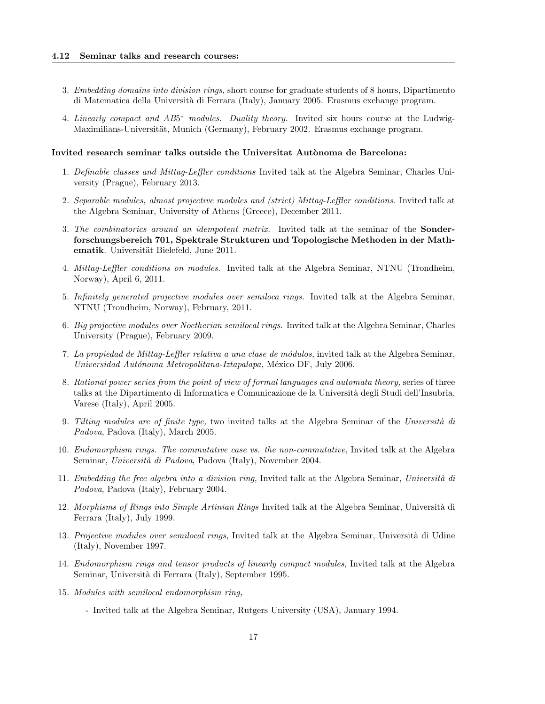- 3. Embedding domains into division rings, short course for graduate students of 8 hours, Dipartimento di Matematica della Universit`a di Ferrara (Italy), January 2005. Erasmus exchange program.
- 4. Linearly compact and AB5<sup>\*</sup> modules. Duality theory. Invited six hours course at the Ludwig-Maximilians-Universität, Munich (Germany), February 2002. Erasmus exchange program.

#### Invited research seminar talks outside the Universitat Autònoma de Barcelona:

- 1. Definable classes and Mittag-Leffler conditions Invited talk at the Algebra Seminar, Charles University (Prague), February 2013.
- 2. Separable modules, almost projective modules and (strict) Mittag-Leffler conditions. Invited talk at the Algebra Seminar, University of Athens (Greece), December 2011.
- 3. The combinatorics around an idempotent matrix. Invited talk at the seminar of the Sonderforschungsbereich 701, Spektrale Strukturen und Topologische Methoden in der Mathematik. Universität Bielefeld, June 2011.
- 4. Mittag-Leffler conditions on modules. Invited talk at the Algebra Seminar, NTNU (Trondheim, Norway), April 6, 2011.
- 5. Infinitely generated projective modules over semiloca rings. Invited talk at the Algebra Seminar, NTNU (Trondheim, Norway), February, 2011.
- 6. Big projective modules over Noetherian semilocal rings. Invited talk at the Algebra Seminar, Charles University (Prague), February 2009.
- 7. La propiedad de Mittag-Leffler relativa a una clase de m´odulos, invited talk at the Algebra Seminar, Universidad Autónoma Metropolitana-Iztapalapa, México DF, July 2006.
- 8. Rational power series from the point of view of formal languages and automata theory, series of three talks at the Dipartimento di Informatica e Comunicazione de la Universit`a degli Studi dell'Insubria, Varese (Italy), April 2005.
- 9. Tilting modules are of finite type, two invited talks at the Algebra Seminar of the Università di Padova, Padova (Italy), March 2005.
- 10. Endomorphism rings. The commutative case vs. the non-commutative, Invited talk at the Algebra Seminar, Università di Padova, Padova (Italy), November 2004.
- 11. Embedding the free algebra into a division ring, Invited talk at the Algebra Seminar, Università di Padova, Padova (Italy), February 2004.
- 12. Morphisms of Rings into Simple Artinian Rings Invited talk at the Algebra Seminar, Università di Ferrara (Italy), July 1999.
- 13. Projective modules over semilocal rings, Invited talk at the Algebra Seminar, Università di Udine (Italy), November 1997.
- 14. Endomorphism rings and tensor products of linearly compact modules, Invited talk at the Algebra Seminar, Università di Ferrara (Italy), September 1995.
- 15. Modules with semilocal endomorphism ring,
	- Invited talk at the Algebra Seminar, Rutgers University (USA), January 1994.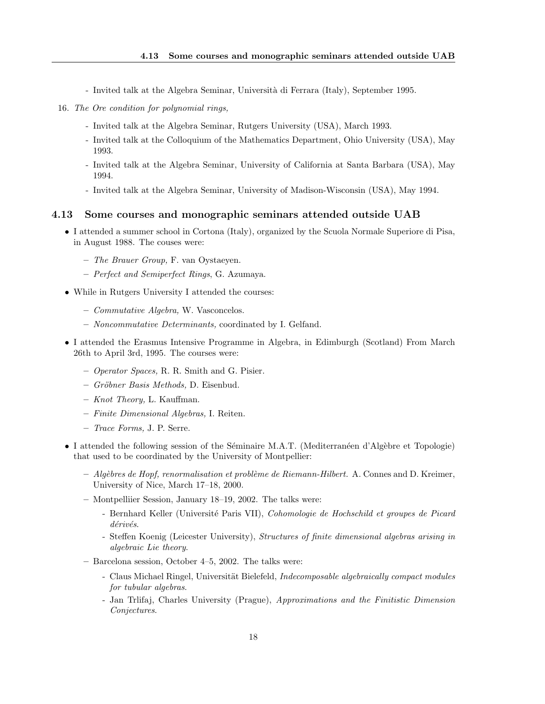- Invited talk at the Algebra Seminar, Università di Ferrara (Italy), September 1995.
- 16. The Ore condition for polynomial rings,
	- Invited talk at the Algebra Seminar, Rutgers University (USA), March 1993.
	- Invited talk at the Colloquium of the Mathematics Department, Ohio University (USA), May 1993.
	- Invited talk at the Algebra Seminar, University of California at Santa Barbara (USA), May 1994.
	- Invited talk at the Algebra Seminar, University of Madison-Wisconsin (USA), May 1994.

#### <span id="page-17-0"></span>4.13 Some courses and monographic seminars attended outside UAB

- I attended a summer school in Cortona (Italy), organized by the Scuola Normale Superiore di Pisa, in August 1988. The couses were:
	- The Brauer Group, F. van Oystaeyen.
	- Perfect and Semiperfect Rings, G. Azumaya.
- While in Rutgers University I attended the courses:
	- Commutative Algebra, W. Vasconcelos.
	- Noncommutative Determinants, coordinated by I. Gelfand.
- I attended the Erasmus Intensive Programme in Algebra, in Edimburgh (Scotland) From March 26th to April 3rd, 1995. The courses were:
	- Operator Spaces, R. R. Smith and G. Pisier.
	- Gröbner Basis Methods, D. Eisenbud.
	- Knot Theory, L. Kauffman.
	- Finite Dimensional Algebras, I. Reiten.
	- Trace Forms, J. P. Serre.
- I attended the following session of the Séminaire M.A.T. (Mediterranéen d'Algèbre et Topologie) that used to be coordinated by the University of Montpellier:
	- $-$  Algèbres de Hopf, renormalisation et problème de Riemann-Hilbert. A. Connes and D. Kreimer, University of Nice, March 17–18, 2000.
	- Montpelliier Session, January 18–19, 2002. The talks were:
		- Bernhard Keller (Université Paris VII), Cohomologie de Hochschild et groupes de Picard  $d\acute{e}riv\acute{e}s.$
		- Steffen Koenig (Leicester University), Structures of finite dimensional algebras arising in algebraic Lie theory.
	- Barcelona session, October 4–5, 2002. The talks were:
		- Claus Michael Ringel, Universität Bielefeld, Indecomposable algebraically compact modules for tubular algebras.
		- Jan Trlifaj, Charles University (Prague), Approximations and the Finitistic Dimension Conjectures.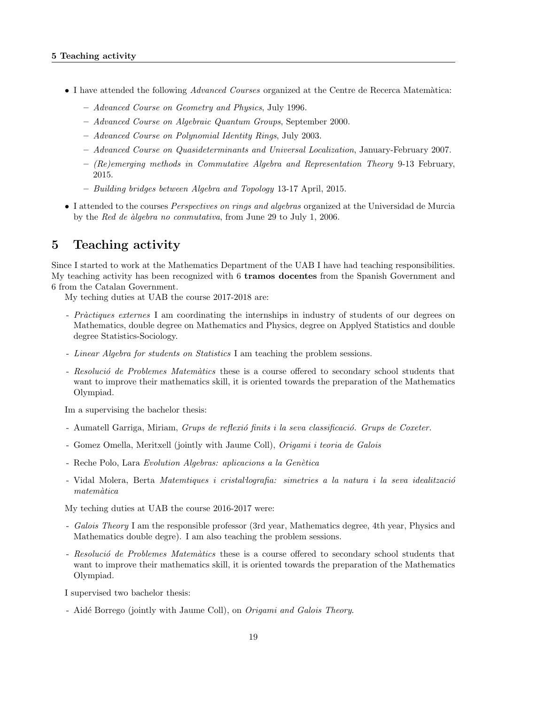- I have attended the following *Advanced Courses* organized at the Centre de Recerca Matemàtica:
	- Advanced Course on Geometry and Physics, July 1996.
	- Advanced Course on Algebraic Quantum Groups, September 2000.
	- Advanced Course on Polynomial Identity Rings, July 2003.
	- Advanced Course on Quasideterminants and Universal Localization, January-February 2007.
	- $-$  (Re)emerging methods in Commutative Algebra and Representation Theory 9-13 February, 2015.
	- Building bridges between Algebra and Topology 13-17 April, 2015.
- I attended to the courses Perspectives on rings and algebras organized at the Universidad de Murcia by the Red de *algebra no conmutativa*, from June 29 to July 1, 2006.

## <span id="page-18-0"></span>5 Teaching activity

Since I started to work at the Mathematics Department of the UAB I have had teaching responsibilities. My teaching activity has been recognized with 6 tramos docentes from the Spanish Government and 6 from the Catalan Government.

My teching duties at UAB the course 2017-2018 are:

- Pràctiques externes I am coordinating the internships in industry of students of our degrees on Mathematics, double degree on Mathematics and Physics, degree on Applyed Statistics and double degree Statistics-Sociology.
- Linear Algebra for students on Statistics I am teaching the problem sessions.
- Resolució de Problemes Matemàtics these is a course offered to secondary school students that want to improve their mathematics skill, it is oriented towards the preparation of the Mathematics Olympiad.

Im a supervising the bachelor thesis:

- Aumatell Garriga, Miriam, Grups de reflexió finits i la seva classificació. Grups de Coxeter.
- Gomez Omella, Meritxell (jointly with Jaume Coll), Origami i teoria de Galois
- Reche Polo, Lara Evolution Algebras: aplicacions a la Genètica
- Vidal Molera, Berta *Matemtiques i cristal·lografia: simetries a la natura i la seva idealització*  $matemàtica$

My teching duties at UAB the course 2016-2017 were:

- Galois Theory I am the responsible professor (3rd year, Mathematics degree, 4th year, Physics and Mathematics double degre). I am also teaching the problem sessions.
- Resolució de Problemes Matemàtics these is a course offered to secondary school students that want to improve their mathematics skill, it is oriented towards the preparation of the Mathematics Olympiad.

I supervised two bachelor thesis:

- Aidé Borrego (jointly with Jaume Coll), on *Origami and Galois Theory*.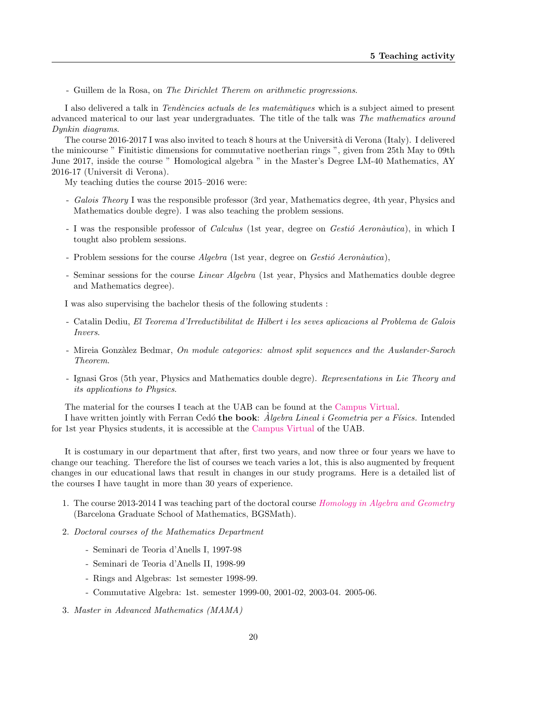- Guillem de la Rosa, on The Dirichlet Therem on arithmetic progressions.

I also delivered a talk in Tendències actuals de les matemàtiques which is a subject aimed to present advanced materical to our last year undergraduates. The title of the talk was The mathematics around Dynkin diagrams.

The course 2016-2017 I was also invited to teach 8 hours at the Universit`a di Verona (Italy). I delivered the minicourse " Finitistic dimensions for commutative noetherian rings ", given from 25th May to 09th June 2017, inside the course " Homological algebra " in the Master's Degree LM-40 Mathematics, AY 2016-17 (Universit di Verona).

My teaching duties the course 2015–2016 were:

- Galois Theory I was the responsible professor (3rd year, Mathematics degree, 4th year, Physics and Mathematics double degre). I was also teaching the problem sessions.
- I was the responsible professor of *Calculus* (1st year, degree on *Gestió Aeronàutica*), in which I tought also problem sessions.
- Problem sessions for the course  $Algebra$  (1st year, degree on  $Gestió$  Aeronàutica),
- Seminar sessions for the course *Linear Algebra* (1st year, Physics and Mathematics double degree and Mathematics degree).

I was also supervising the bachelor thesis of the following students :

- Catalin Dediu, El Teorema d'Irreductibilitat de Hilbert i les seves aplicacions al Problema de Galois Invers.
- Mireia Gonzàlez Bedmar, On module categories: almost split sequences and the Auslander-Saroch Theorem.
- Ignasi Gros (5th year, Physics and Mathematics double degre). Representations in Lie Theory and its applications to Physics.

The material for the courses I teach at the UAB can be found at the [Campus Virtual.](https://cv2008.uab.cat)

I have written jointly with Ferran Cedó the book:  $\dot{Algebra}$  Lineal i Geometria per a Físics. Intended for 1st year Physics students, it is accessible at the [Campus Virtual](https://cv2008.uab.cat) of the UAB.

It is costumary in our department that after, first two years, and now three or four years we have to change our teaching. Therefore the list of courses we teach varies a lot, this is also augmented by frequent changes in our educational laws that result in changes in our study programs. Here is a detailed list of the courses I have taught in more than 30 years of experience.

- 1. The course 2013-2014 I was teaching part of the doctoral course [Homology in Algebra and Geometry](http://www.bgsmath.cat/homology-in-algebra-and-geometry/) (Barcelona Graduate School of Mathematics, BGSMath).
- 2. Doctoral courses of the Mathematics Department
	- Seminari de Teoria d'Anells I, 1997-98
	- Seminari de Teoria d'Anells II, 1998-99
	- Rings and Algebras: 1st semester 1998-99.
	- Commutative Algebra: 1st. semester 1999-00, 2001-02, 2003-04. 2005-06.
- 3. Master in Advanced Mathematics (MAMA)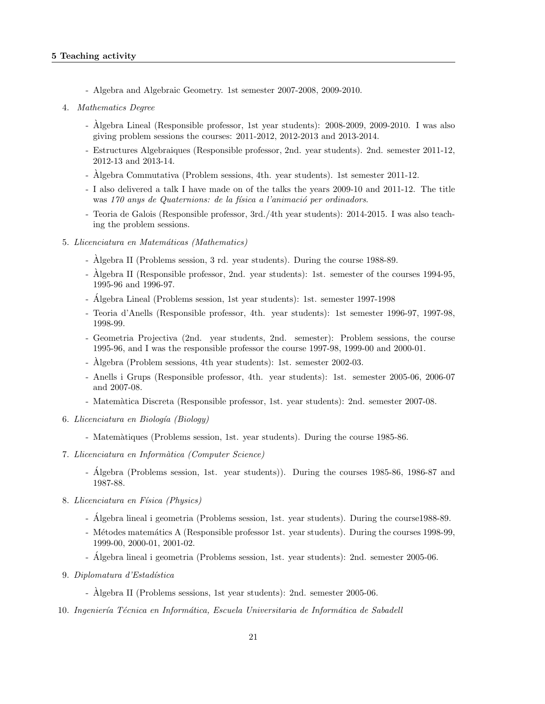- Algebra and Algebraic Geometry. 1st semester 2007-2008, 2009-2010.
- 4. Mathematics Degree
	- Algebra Lineal (Responsible professor, 1st year students): 2008-2009, 2009-2010. I was also ` giving problem sessions the courses: 2011-2012, 2012-2013 and 2013-2014.
	- Estructures Algebraiques (Responsible professor, 2nd. year students). 2nd. semester 2011-12, 2012-13 and 2013-14.
	- Algebra Commutativa (Problem sessions, 4th. year students). 1st semester 2011-12. `
	- I also delivered a talk I have made on of the talks the years 2009-10 and 2011-12. The title was 170 anys de Quaternions: de la física a l'animació per ordinadors.
	- Teoria de Galois (Responsible professor, 3rd./4th year students): 2014-2015. I was also teaching the problem sessions.
- 5. Llicenciatura en Matemáticas (Mathematics)
	- Algebra II (Problems session, 3 rd. year students). During the course 1988-89.
	- Algebra II (Responsible professor, 2nd. year students): 1st. semester of the courses 1994-95, ` 1995-96 and 1996-97.
	- Álgebra Lineal (Problems session, 1st year students): 1st. semester 1997-1998
	- Teoria d'Anells (Responsible professor, 4th. year students): 1st semester 1996-97, 1997-98, 1998-99.
	- Geometria Projectiva (2nd. year students, 2nd. semester): Problem sessions, the course 1995-96, and I was the responsible professor the course 1997-98, 1999-00 and 2000-01.
	- Algebra (Problem sessions, 4th year students): 1st. semester 2002-03.
	- Anells i Grups (Responsible professor, 4th. year students): 1st. semester 2005-06, 2006-07 and 2007-08.
	- Matem`atica Discreta (Responsible professor, 1st. year students): 2nd. semester 2007-08.
- 6. Llicenciatura en Biología (Biology)
	- Matem`atiques (Problems session, 1st. year students). During the course 1985-86.
- 7. Llicenciatura en Informàtica (Computer Science)
	- Algebra (Problems session, 1st. year students)). During the courses 1985-86, 1986-87 and ´ 1987-88.
- 8. Llicenciatura en Física (Physics)
	- Algebra lineal i geometria (Problems session, 1st. year students). During the course1988-89.
	- Métodes matemátics A (Responsible professor 1st. year students). During the courses 1998-99, 1999-00, 2000-01, 2001-02.
	- Algebra lineal i geometria (Problems session, 1st. year students): 2nd. semester 2005-06. ´
- 9. Diplomatura d'Estadística
	- Algebra II (Problems sessions, 1st year students): 2nd. semester 2005-06.
- 10. Ingeniería Técnica en Informática, Escuela Universitaria de Informática de Sabadell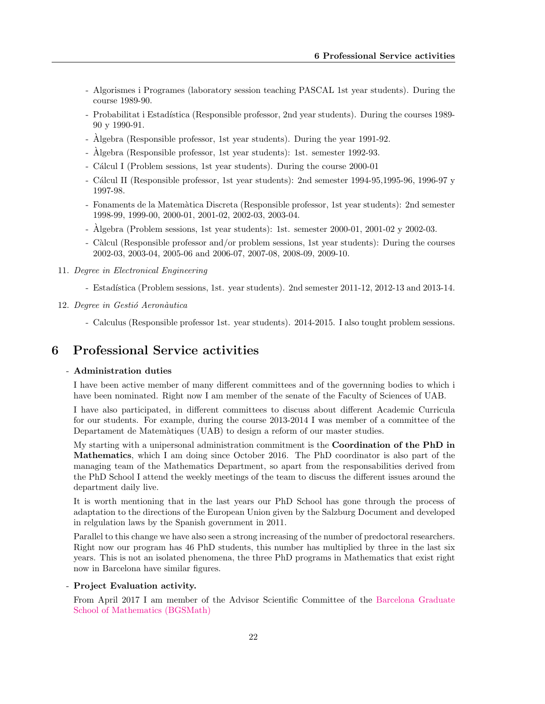- Algorismes i Programes (laboratory session teaching PASCAL 1st year students). During the course 1989-90.
- Probabilitat i Estadística (Responsible professor, 2nd year students). During the courses 1989-90 y 1990-91.
- Algebra (Responsible professor, 1st year students). During the year 1991-92. `
- Algebra (Responsible professor, 1st year students): 1st. semester 1992-93.
- Cálcul I (Problem sessions, 1st year students). During the course 2000-01
- C´alcul II (Responsible professor, 1st year students): 2nd semester 1994-95,1995-96, 1996-97 y 1997-98.
- Fonaments de la Matem`atica Discreta (Responsible professor, 1st year students): 2nd semester 1998-99, 1999-00, 2000-01, 2001-02, 2002-03, 2003-04.
- Algebra (Problem sessions, 1st year students): 1st. semester 2000-01, 2001-02 y 2002-03. `
- Càlcul (Responsible professor and/or problem sessions, 1st year students): During the courses 2002-03, 2003-04, 2005-06 and 2006-07, 2007-08, 2008-09, 2009-10.
- 11. Degree in Electronical Engineering
	- Estadística (Problem sessions, 1st. year students). 2nd semester 2011-12, 2012-13 and 2013-14.
- 12. Degree in Gestió Aeronàutica
	- Calculus (Responsible professor 1st. year students). 2014-2015. I also tought problem sessions.

## <span id="page-21-0"></span>6 Professional Service activities

#### - Administration duties

I have been active member of many different committees and of the governning bodies to which i have been nominated. Right now I am member of the senate of the Faculty of Sciences of UAB.

I have also participated, in different committees to discuss about different Academic Curricula for our students. For example, during the course 2013-2014 I was member of a committee of the Departament de Matem`atiques (UAB) to design a reform of our master studies.

My starting with a unipersonal administration commitment is the Coordination of the PhD in Mathematics, which I am doing since October 2016. The PhD coordinator is also part of the managing team of the Mathematics Department, so apart from the responsabilities derived from the PhD School I attend the weekly meetings of the team to discuss the different issues around the department daily live.

It is worth mentioning that in the last years our PhD School has gone through the process of adaptation to the directions of the European Union given by the Salzburg Document and developed in relgulation laws by the Spanish government in 2011.

Parallel to this change we have also seen a strong increasing of the number of predoctoral researchers. Right now our program has 46 PhD students, this number has multiplied by three in the last six years. This is not an isolated phenomena, the three PhD programs in Mathematics that exist right now in Barcelona have similar figures.

- Project Evaluation activity.

From April 2017 I am member of the Advisor Scientific Committee of the [Barcelona Graduate](http://bgsmath.cat) [School of Mathematics \(BGSMath\)](http://bgsmath.cat)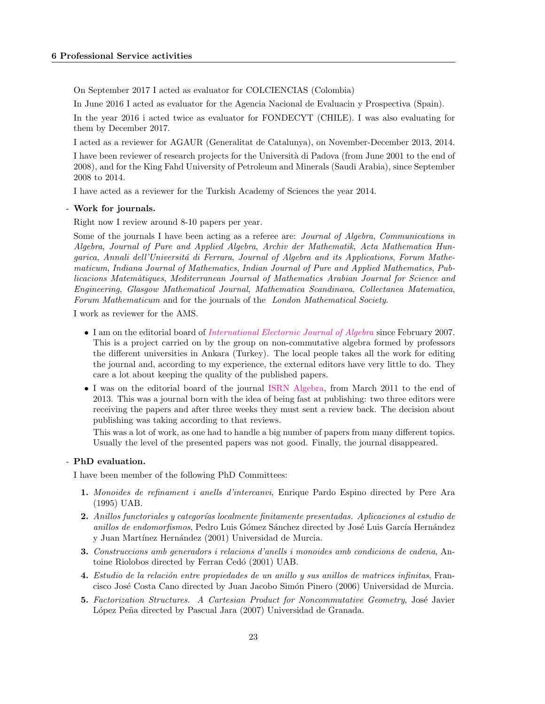On September 2017 I acted as evaluator for COLCIENCIAS (Colombia)

In June 2016 I acted as evaluator for the Agencia Nacional de Evaluacin y Prospectiva (Spain).

In the year 2016 i acted twice as evaluator for FONDECYT (CHILE). I was also evaluating for them by December 2017.

I acted as a reviewer for AGAUR (Generalitat de Catalunya), on November-December 2013, 2014.

I have been reviewer of research projects for the Università di Padova (from June 2001 to the end of 2008), and for the King Fahd University of Petroleum and Minerals (Saudi Arabia), since September 2008 to 2014.

I have acted as a reviewer for the Turkish Academy of Sciences the year 2014.

#### - Work for journals.

Right now I review around 8-10 papers per year.

Some of the journals I have been acting as a referee are: Journal of Algebra, Communications in Algebra, Journal of Pure and Applied Algebra, Archiv der Mathematik, Acta Mathematica Hungarica, Annali dell'Università di Ferrara, Journal of Algebra and its Applications, Forum Mathematicum, Indiana Journal of Mathematics, Indian Journal of Pure and Applied Mathematics, Publicacions Matem`atiques, Mediterranean Journal of Mathematics Arabian Journal for Science and Engineering, Glasgow Mathematical Journal, Mathematica Scandinava, Collectanea Matematica, Forum Mathematicum and for the journals of the London Mathematical Society.

I work as reviewer for the AMS.

- I am on the editorial board of [International Electornic Journal of Algebra](http://www.ieja.net/) since February 2007. This is a project carried on by the group on non-commutative algebra formed by professors the different universities in Ankara (Turkey). The local people takes all the work for editing the journal and, according to my experience, the external editors have very little to do. They care a lot about keeping the quality of the published papers.
- I was on the editorial board of the journal [ISRN Algebra,](http://www.isrn.com/journals/algebra/editors/) from March 2011 to the end of 2013. This was a journal born with the idea of being fast at publishing: two three editors were receiving the papers and after three weeks they must sent a review back. The decision about publishing was taking according to that reviews.

This was a lot of work, as one had to handle a big number of papers from many different topics. Usually the level of the presented papers was not good. Finally, the journal disappeared.

#### - PhD evaluation.

I have been member of the following PhD Committees:

- 1. Monoides de refinament i anells d'intercanvi, Enrique Pardo Espino directed by Pere Ara (1995) UAB.
- 2. Anillos functoriales y categorías localmente finitamente presentadas. Aplicaciones al estudio de anillos de endomorfismos, Pedro Luis Gómez Sánchez directed by José Luis García Hernández y Juan Martínez Hernández (2001) Universidad de Murcia.
- 3. Construccions amb generadors i relacions d'anells i monoides amb condicions de cadena, Antoine Riolobos directed by Ferran Cedó (2001) UAB.
- 4. Estudio de la relación entre propiedades de un anillo y sus anillos de matrices infinitas, Francisco Jos´e Costa Cano directed by Juan Jacobo Sim´on Pinero (2006) Universidad de Murcia.
- 5. Factorization Structures. A Cartesian Product for Noncommutative Geometry, José Javier López Peña directed by Pascual Jara (2007) Universidad de Granada.